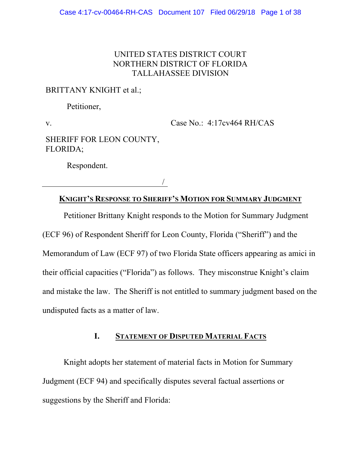### UNITED STATES DISTRICT COURT NORTHERN DISTRICT OF FLORIDA TALLAHASSEE DIVISION

### BRITTANY KNIGHT et al.;

Petitioner,

v.

Case No.: 4:17cv464 RH/CAS

SHERIFF FOR LEON COUNTY, FLORIDA;

Respondent.

/

# **KNIGHT'S RESPONSE TO SHERIFF'S MOTION FOR SUMMARY JUDGMENT**

Petitioner Brittany Knight responds to the Motion for Summary Judgment (ECF 96) of Respondent Sheriff for Leon County, Florida ("Sheriff") and the Memorandum of Law (ECF 97) of two Florida State officers appearing as amici in their official capacities ("Florida") as follows. They misconstrue Knight's claim and mistake the law. The Sheriff is not entitled to summary judgment based on the undisputed facts as a matter of law.

### **I. STATEMENT OF DISPUTED MATERIAL FACTS**

Knight adopts her statement of material facts in Motion for Summary Judgment (ECF 94) and specifically disputes several factual assertions or suggestions by the Sheriff and Florida: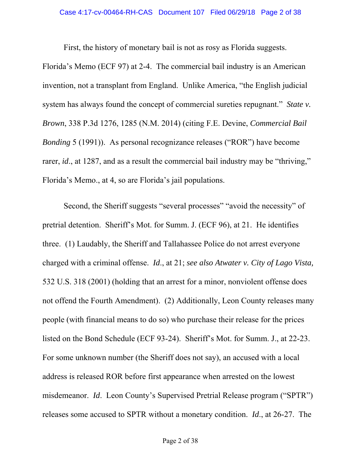First, the history of monetary bail is not as rosy as Florida suggests.

Florida's Memo (ECF 97) at 2-4. The commercial bail industry is an American invention, not a transplant from England. Unlike America, "the English judicial system has always found the concept of commercial sureties repugnant." *State v. Brown*, 338 P.3d 1276, 1285 (N.M. 2014) (citing F.E. Devine, *Commercial Bail Bonding* 5 (1991)). As personal recognizance releases ("ROR") have become rarer, *id.*, at 1287, and as a result the commercial bail industry may be "thriving," Florida's Memo., at 4, so are Florida's jail populations.

Second, the Sheriff suggests "several processes" "avoid the necessity" of pretrial detention. Sheriff's Mot. for Summ. J. (ECF 96), at 21. He identifies three. (1) Laudably, the Sheriff and Tallahassee Police do not arrest everyone charged with a criminal offense. *Id*., at 21; *see also Atwater v. City of Lago Vista,*  532 U.S. 318 (2001) (holding that an arrest for a minor, nonviolent offense does not offend the Fourth Amendment). (2) Additionally, Leon County releases many people (with financial means to do so) who purchase their release for the prices listed on the Bond Schedule (ECF 93-24). Sheriff's Mot. for Summ. J., at 22-23. For some unknown number (the Sheriff does not say), an accused with a local address is released ROR before first appearance when arrested on the lowest misdemeanor. *Id*. Leon County's Supervised Pretrial Release program ("SPTR") releases some accused to SPTR without a monetary condition. *Id*., at 26-27. The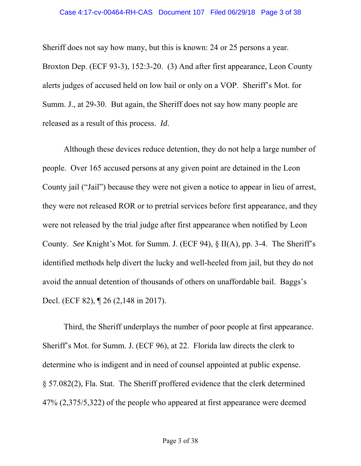Sheriff does not say how many, but this is known: 24 or 25 persons a year. Broxton Dep. (ECF 93-3), 152:3-20. (3) And after first appearance, Leon County alerts judges of accused held on low bail or only on a VOP. Sheriff's Mot. for Summ. J., at 29-30. But again, the Sheriff does not say how many people are released as a result of this process. *Id*.

Although these devices reduce detention, they do not help a large number of people. Over 165 accused persons at any given point are detained in the Leon County jail ("Jail") because they were not given a notice to appear in lieu of arrest, they were not released ROR or to pretrial services before first appearance, and they were not released by the trial judge after first appearance when notified by Leon County. *See* Knight's Mot. for Summ. J. (ECF 94), § II(A), pp. 3-4. The Sheriff's identified methods help divert the lucky and well-heeled from jail, but they do not avoid the annual detention of thousands of others on unaffordable bail. Baggs's Decl. (ECF 82),  $\sqrt{26}$  (2,148 in 2017).

Third, the Sheriff underplays the number of poor people at first appearance. Sheriff's Mot. for Summ. J. (ECF 96), at 22. Florida law directs the clerk to determine who is indigent and in need of counsel appointed at public expense. § 57.082(2), Fla. Stat. The Sheriff proffered evidence that the clerk determined 47% (2,375/5,322) of the people who appeared at first appearance were deemed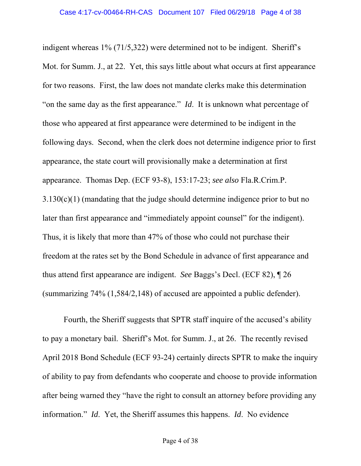indigent whereas 1% (71/5,322) were determined not to be indigent. Sheriff's Mot. for Summ. J., at 22. Yet, this says little about what occurs at first appearance for two reasons. First, the law does not mandate clerks make this determination "on the same day as the first appearance." *Id*. It is unknown what percentage of those who appeared at first appearance were determined to be indigent in the following days. Second, when the clerk does not determine indigence prior to first appearance, the state court will provisionally make a determination at first appearance. Thomas Dep. (ECF 93-8), 153:17-23; *see also* Fla.R.Crim.P.  $3.130(c)(1)$  (mandating that the judge should determine indigence prior to but no later than first appearance and "immediately appoint counsel" for the indigent). Thus, it is likely that more than 47% of those who could not purchase their freedom at the rates set by the Bond Schedule in advance of first appearance and thus attend first appearance are indigent. *See* Baggs's Decl. (ECF 82), ¶ 26 (summarizing 74% (1,584/2,148) of accused are appointed a public defender).

Fourth, the Sheriff suggests that SPTR staff inquire of the accused's ability to pay a monetary bail. Sheriff's Mot. for Summ. J., at 26. The recently revised April 2018 Bond Schedule (ECF 93-24) certainly directs SPTR to make the inquiry of ability to pay from defendants who cooperate and choose to provide information after being warned they "have the right to consult an attorney before providing any information." *Id*. Yet, the Sheriff assumes this happens. *Id*. No evidence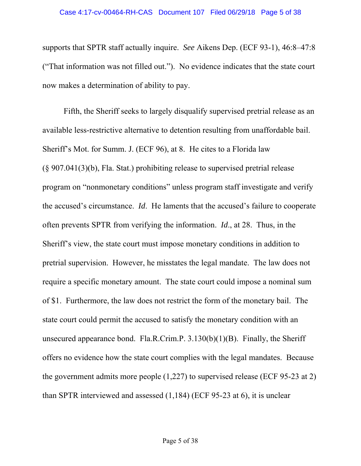supports that SPTR staff actually inquire. *See* Aikens Dep. (ECF 93-1), 46:8–47:8 ("That information was not filled out."). No evidence indicates that the state court now makes a determination of ability to pay.

Fifth, the Sheriff seeks to largely disqualify supervised pretrial release as an available less-restrictive alternative to detention resulting from unaffordable bail. Sheriff's Mot. for Summ. J. (ECF 96), at 8. He cites to a Florida law (§ 907.041(3)(b), Fla. Stat.) prohibiting release to supervised pretrial release program on "nonmonetary conditions" unless program staff investigate and verify the accused's circumstance. *Id*. He laments that the accused's failure to cooperate often prevents SPTR from verifying the information. *Id*., at 28. Thus, in the Sheriff's view, the state court must impose monetary conditions in addition to pretrial supervision. However, he misstates the legal mandate. The law does not require a specific monetary amount. The state court could impose a nominal sum of \$1. Furthermore, the law does not restrict the form of the monetary bail. The state court could permit the accused to satisfy the monetary condition with an unsecured appearance bond. Fla.R.Crim.P. 3.130(b)(1)(B). Finally, the Sheriff offers no evidence how the state court complies with the legal mandates. Because the government admits more people (1,227) to supervised release (ECF 95-23 at 2) than SPTR interviewed and assessed (1,184) (ECF 95-23 at 6), it is unclear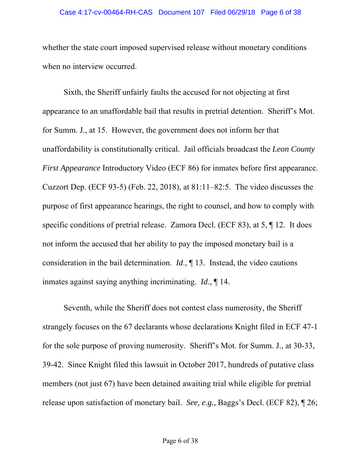#### Case 4:17-cv-00464-RH-CAS Document 107 Filed 06/29/18 Page 6 of 38

whether the state court imposed supervised release without monetary conditions when no interview occurred.

Sixth, the Sheriff unfairly faults the accused for not objecting at first appearance to an unaffordable bail that results in pretrial detention. Sheriff's Mot. for Summ. J., at 15. However, the government does not inform her that unaffordability is constitutionally critical. Jail officials broadcast the *Leon County First Appearance* Introductory Video (ECF 86) for inmates before first appearance. Cuzzort Dep. (ECF 93-5) (Feb. 22, 2018), at 81:11–82:5. The video discusses the purpose of first appearance hearings, the right to counsel, and how to comply with specific conditions of pretrial release. Zamora Decl. (ECF 83), at 5, ¶ 12. It does not inform the accused that her ability to pay the imposed monetary bail is a consideration in the bail determination. *Id*., ¶ 13. Instead, the video cautions inmates against saying anything incriminating. *Id*., ¶ 14.

Seventh, while the Sheriff does not contest class numerosity, the Sheriff strangely focuses on the 67 declarants whose declarations Knight filed in ECF 47-1 for the sole purpose of proving numerosity. Sheriff's Mot. for Summ. J., at 30-33, 39-42. Since Knight filed this lawsuit in October 2017, hundreds of putative class members (not just 67) have been detained awaiting trial while eligible for pretrial release upon satisfaction of monetary bail. *See, e.g.,* Baggs's Decl. (ECF 82), ¶ 26;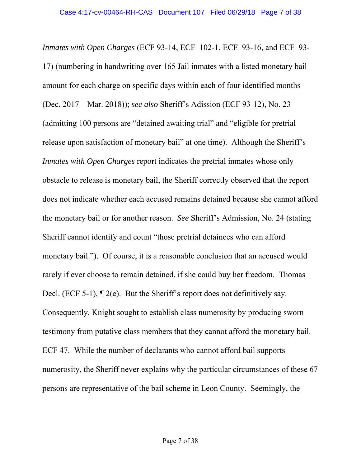*Inmates with Open Charges* (ECF 93-14, ECF 102-1, ECF 93-16, and ECF 93- 17) (numbering in handwriting over 165 Jail inmates with a listed monetary bail amount for each charge on specific days within each of four identified months (Dec. 2017 – Mar. 2018)); *see also* Sheriff's Adission (ECF 93-12), No. 23 (admitting 100 persons are "detained awaiting trial" and "eligible for pretrial release upon satisfaction of monetary bail" at one time). Although the Sheriff's *Inmates with Open Charges* report indicates the pretrial inmates whose only obstacle to release is monetary bail, the Sheriff correctly observed that the report does not indicate whether each accused remains detained because she cannot afford the monetary bail or for another reason. *See* Sheriff's Admission, No. 24 (stating Sheriff cannot identify and count "those pretrial detainees who can afford monetary bail."). Of course, it is a reasonable conclusion that an accused would rarely if ever choose to remain detained, if she could buy her freedom. Thomas Decl. (ECF 5-1), ¶ 2(e). But the Sheriff's report does not definitively say. Consequently, Knight sought to establish class numerosity by producing sworn testimony from putative class members that they cannot afford the monetary bail. ECF 47. While the number of declarants who cannot afford bail supports numerosity, the Sheriff never explains why the particular circumstances of these 67 persons are representative of the bail scheme in Leon County. Seemingly, the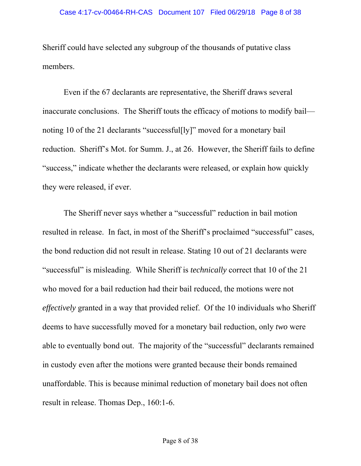Sheriff could have selected any subgroup of the thousands of putative class members.

Even if the 67 declarants are representative, the Sheriff draws several inaccurate conclusions. The Sheriff touts the efficacy of motions to modify bail noting 10 of the 21 declarants "successful[ly]" moved for a monetary bail reduction. Sheriff's Mot. for Summ. J., at 26. However, the Sheriff fails to define "success," indicate whether the declarants were released, or explain how quickly they were released, if ever.

The Sheriff never says whether a "successful" reduction in bail motion resulted in release. In fact, in most of the Sheriff's proclaimed "successful" cases, the bond reduction did not result in release. Stating 10 out of 21 declarants were "successful" is misleading. While Sheriff is *technically* correct that 10 of the 21 who moved for a bail reduction had their bail reduced, the motions were not *effectively* granted in a way that provided relief. Of the 10 individuals who Sheriff deems to have successfully moved for a monetary bail reduction, only *two* were able to eventually bond out. The majority of the "successful" declarants remained in custody even after the motions were granted because their bonds remained unaffordable. This is because minimal reduction of monetary bail does not often result in release. Thomas Dep., 160:1-6.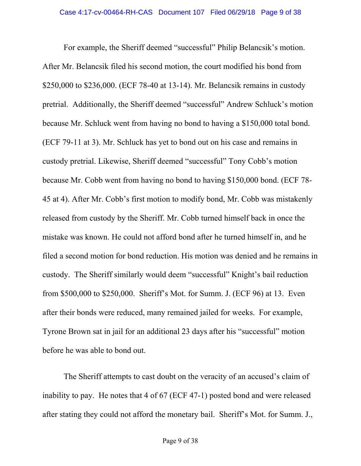For example, the Sheriff deemed "successful" Philip Belancsik's motion. After Mr. Belancsik filed his second motion, the court modified his bond from \$250,000 to \$236,000. (ECF 78-40 at 13-14). Mr. Belancsik remains in custody pretrial. Additionally, the Sheriff deemed "successful" Andrew Schluck's motion because Mr. Schluck went from having no bond to having a \$150,000 total bond. (ECF 79-11 at 3). Mr. Schluck has yet to bond out on his case and remains in custody pretrial. Likewise, Sheriff deemed "successful" Tony Cobb's motion because Mr. Cobb went from having no bond to having \$150,000 bond. (ECF 78- 45 at 4). After Mr. Cobb's first motion to modify bond, Mr. Cobb was mistakenly released from custody by the Sheriff. Mr. Cobb turned himself back in once the mistake was known. He could not afford bond after he turned himself in, and he filed a second motion for bond reduction. His motion was denied and he remains in custody. The Sheriff similarly would deem "successful" Knight's bail reduction from \$500,000 to \$250,000. Sheriff's Mot. for Summ. J. (ECF 96) at 13. Even after their bonds were reduced, many remained jailed for weeks. For example, Tyrone Brown sat in jail for an additional 23 days after his "successful" motion before he was able to bond out.

The Sheriff attempts to cast doubt on the veracity of an accused's claim of inability to pay. He notes that 4 of 67 (ECF 47-1) posted bond and were released after stating they could not afford the monetary bail. Sheriff's Mot. for Summ. J.,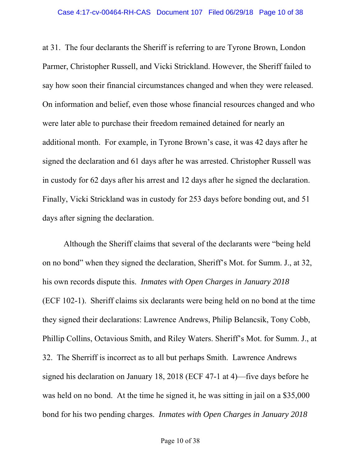at 31. The four declarants the Sheriff is referring to are Tyrone Brown, London Parmer, Christopher Russell, and Vicki Strickland. However, the Sheriff failed to say how soon their financial circumstances changed and when they were released. On information and belief, even those whose financial resources changed and who were later able to purchase their freedom remained detained for nearly an additional month. For example, in Tyrone Brown's case, it was 42 days after he signed the declaration and 61 days after he was arrested. Christopher Russell was in custody for 62 days after his arrest and 12 days after he signed the declaration. Finally, Vicki Strickland was in custody for 253 days before bonding out, and 51 days after signing the declaration.

Although the Sheriff claims that several of the declarants were "being held on no bond" when they signed the declaration, Sheriff's Mot. for Summ. J., at 32, his own records dispute this. *Inmates with Open Charges in January 2018*  (ECF 102-1). Sheriff claims six declarants were being held on no bond at the time they signed their declarations: Lawrence Andrews, Philip Belancsik, Tony Cobb, Phillip Collins, Octavious Smith, and Riley Waters. Sheriff's Mot. for Summ. J., at 32. The Sherriff is incorrect as to all but perhaps Smith. Lawrence Andrews signed his declaration on January 18, 2018 (ECF 47-1 at 4)—five days before he was held on no bond. At the time he signed it, he was sitting in jail on a \$35,000 bond for his two pending charges. *Inmates with Open Charges in January 2018*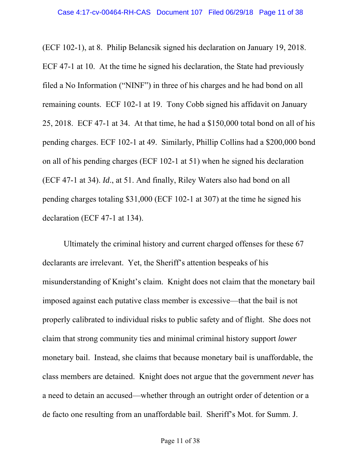(ECF 102-1), at 8. Philip Belancsik signed his declaration on January 19, 2018. ECF 47-1 at 10. At the time he signed his declaration, the State had previously filed a No Information ("NINF") in three of his charges and he had bond on all remaining counts. ECF 102-1 at 19. Tony Cobb signed his affidavit on January 25, 2018. ECF 47-1 at 34. At that time, he had a \$150,000 total bond on all of his pending charges. ECF 102-1 at 49. Similarly, Phillip Collins had a \$200,000 bond on all of his pending charges (ECF 102-1 at 51) when he signed his declaration (ECF 47-1 at 34). *Id*., at 51. And finally, Riley Waters also had bond on all pending charges totaling \$31,000 (ECF 102-1 at 307) at the time he signed his declaration (ECF 47-1 at 134).

Ultimately the criminal history and current charged offenses for these 67 declarants are irrelevant. Yet, the Sheriff's attention bespeaks of his misunderstanding of Knight's claim. Knight does not claim that the monetary bail imposed against each putative class member is excessive—that the bail is not properly calibrated to individual risks to public safety and of flight. She does not claim that strong community ties and minimal criminal history support *lower*  monetary bail. Instead, she claims that because monetary bail is unaffordable, the class members are detained. Knight does not argue that the government *never* has a need to detain an accused—whether through an outright order of detention or a de facto one resulting from an unaffordable bail. Sheriff's Mot. for Summ. J.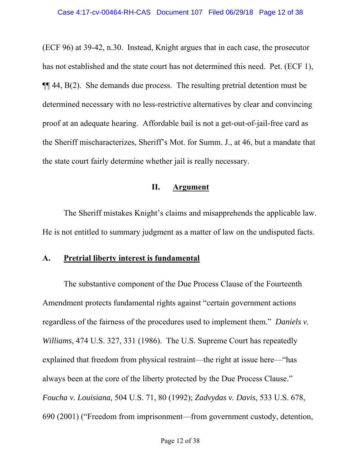(ECF 96) at 39-42, n.30. Instead, Knight argues that in each case, the prosecutor has not established and the state court has not determined this need. Pet. (ECF 1), ¶¶ 44, B(2). She demands due process. The resulting pretrial detention must be determined necessary with no less-restrictive alternatives by clear and convincing proof at an adequate hearing. Affordable bail is not a get-out-of-jail-free card as the Sheriff mischaracterizes, Sheriff's Mot. for Summ. J., at 46, but a mandate that the state court fairly determine whether jail is really necessary.

#### **II. Argument**

The Sheriff mistakes Knight's claims and misapprehends the applicable law. He is not entitled to summary judgment as a matter of law on the undisputed facts.

### **A. Pretrial liberty interest is fundamental**

The substantive component of the Due Process Clause of the Fourteenth Amendment protects fundamental rights against "certain government actions regardless of the fairness of the procedures used to implement them." *Daniels v. Williams*, 474 U.S. 327, 331 (1986). The U.S. Supreme Court has repeatedly explained that freedom from physical restraint—the right at issue here—"has always been at the core of the liberty protected by the Due Process Clause." *Foucha v. Louisiana,* 504 U.S. 71, 80 (1992); *Zadvydas v. Davis*, 533 U.S. 678, 690 (2001) ("Freedom from imprisonment—from government custody, detention,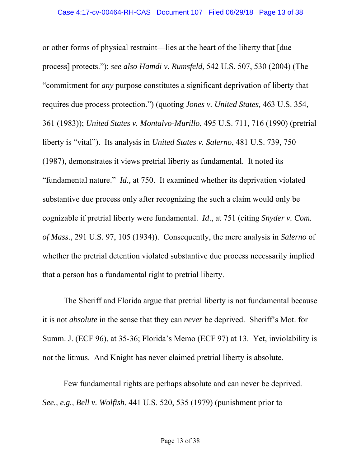or other forms of physical restraint—lies at the heart of the liberty that [due process] protects."); *see also Hamdi v. Rumsfeld*, 542 U.S. 507, 530 (2004) (The "commitment for *any* purpose constitutes a significant deprivation of liberty that requires due process protection.") (quoting *Jones v. United States,* 463 U.S. 354, 361 (1983)); *United States v. Montalvo-Murillo*, 495 U.S. 711, 716 (1990) (pretrial liberty is "vital"). Its analysis in *United States v. Salerno*, 481 U.S. 739, 750 (1987), demonstrates it views pretrial liberty as fundamental. It noted its "fundamental nature." *Id.,* at 750. It examined whether its deprivation violated substantive due process only after recognizing the such a claim would only be cognizable if pretrial liberty were fundamental. *Id*., at 751 (citing *Snyder v. Com. of Mass*., 291 U.S. 97, 105 (1934)). Consequently, the mere analysis in *Salerno* of whether the pretrial detention violated substantive due process necessarily implied that a person has a fundamental right to pretrial liberty.

The Sheriff and Florida argue that pretrial liberty is not fundamental because it is not *absolute* in the sense that they can *never* be deprived. Sheriff's Mot. for Summ. J. (ECF 96), at 35-36; Florida's Memo (ECF 97) at 13. Yet, inviolability is not the litmus. And Knight has never claimed pretrial liberty is absolute.

Few fundamental rights are perhaps absolute and can never be deprived. *See., e.g., Bell v. Wolfish*, 441 U.S. 520, 535 (1979) (punishment prior to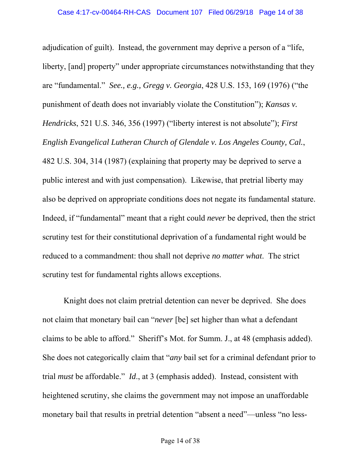adjudication of guilt). Instead, the government may deprive a person of a "life, liberty, [and] property" under appropriate circumstances notwithstanding that they are "fundamental." *See., e.g., Gregg v. Georgia*, 428 U.S. 153, 169 (1976) ("the punishment of death does not invariably violate the Constitution"); *Kansas v. Hendricks*, 521 U.S. 346, 356 (1997) ("liberty interest is not absolute"); *First English Evangelical Lutheran Church of Glendale v. Los Angeles County, Cal.*, 482 U.S. 304, 314 (1987) (explaining that property may be deprived to serve a public interest and with just compensation). Likewise, that pretrial liberty may also be deprived on appropriate conditions does not negate its fundamental stature. Indeed, if "fundamental" meant that a right could *never* be deprived, then the strict scrutiny test for their constitutional deprivation of a fundamental right would be reduced to a commandment: thou shall not deprive *no matter what*. The strict scrutiny test for fundamental rights allows exceptions.

Knight does not claim pretrial detention can never be deprived. She does not claim that monetary bail can "*never* [be] set higher than what a defendant claims to be able to afford." Sheriff's Mot. for Summ. J., at 48 (emphasis added). She does not categorically claim that "*any* bail set for a criminal defendant prior to trial *must* be affordable." *Id*., at 3 (emphasis added). Instead, consistent with heightened scrutiny, she claims the government may not impose an unaffordable monetary bail that results in pretrial detention "absent a need"—unless "no less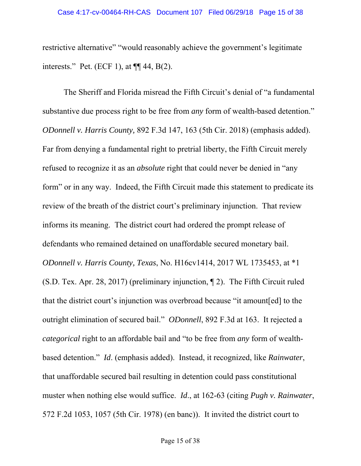restrictive alternative" "would reasonably achieve the government's legitimate interests." Pet. (ECF 1), at  $\P\P$  44, B(2).

The Sheriff and Florida misread the Fifth Circuit's denial of "a fundamental substantive due process right to be free from *any* form of wealth-based detention." *ODonnell v. Harris County,* 892 F.3d 147, 163 (5th Cir. 2018) (emphasis added). Far from denying a fundamental right to pretrial liberty, the Fifth Circuit merely refused to recognize it as an *absolute* right that could never be denied in "any form" or in any way. Indeed, the Fifth Circuit made this statement to predicate its review of the breath of the district court's preliminary injunction. That review informs its meaning. The district court had ordered the prompt release of defendants who remained detained on unaffordable secured monetary bail. *ODonnell v. Harris County, Texas*, No. H16cv1414, 2017 WL 1735453, at \*1 (S.D. Tex. Apr. 28, 2017) (preliminary injunction, ¶ 2). The Fifth Circuit ruled that the district court's injunction was overbroad because "it amount[ed] to the outright elimination of secured bail." *ODonnell*, 892 F.3d at 163. It rejected a *categorical* right to an affordable bail and "to be free from *any* form of wealthbased detention." *Id*. (emphasis added). Instead, it recognized, like *Rainwater*, that unaffordable secured bail resulting in detention could pass constitutional muster when nothing else would suffice. *Id*., at 162-63 (citing *Pugh v. Rainwater*, 572 F.2d 1053, 1057 (5th Cir. 1978) (en banc)). It invited the district court to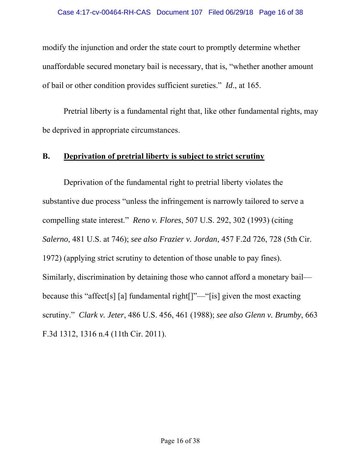modify the injunction and order the state court to promptly determine whether unaffordable secured monetary bail is necessary, that is, "whether another amount of bail or other condition provides sufficient sureties." *Id*., at 165.

Pretrial liberty is a fundamental right that, like other fundamental rights, may be deprived in appropriate circumstances.

### **B. Deprivation of pretrial liberty is subject to strict scrutiny**

Deprivation of the fundamental right to pretrial liberty violates the substantive due process "unless the infringement is narrowly tailored to serve a compelling state interest." *Reno v. Flores*, 507 U.S. 292, 302 (1993) (citing *Salerno*, 481 U.S. at 746); *see also Frazier v. Jordan*, 457 F.2d 726, 728 (5th Cir. 1972) (applying strict scrutiny to detention of those unable to pay fines). Similarly, discrimination by detaining those who cannot afford a monetary bail because this "affect[s] [a] fundamental right[]"—"[is] given the most exacting scrutiny." *Clark v. Jeter*, 486 U.S. 456, 461 (1988); *see also Glenn v. Brumby*, 663 F.3d 1312, 1316 n.4 (11th Cir. 2011).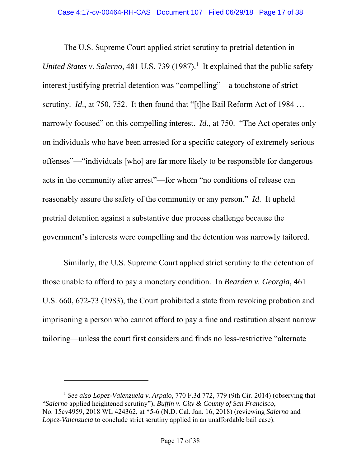The U.S. Supreme Court applied strict scrutiny to pretrial detention in United States v. Salerno, 481 U.S. 739 (1987).<sup>1</sup> It explained that the public safety interest justifying pretrial detention was "compelling"—a touchstone of strict scrutiny. *Id.*, at 750, 752. It then found that "[t]he Bail Reform Act of 1984 ... narrowly focused" on this compelling interest. *Id*., at 750. "The Act operates only on individuals who have been arrested for a specific category of extremely serious offenses"—"individuals [who] are far more likely to be responsible for dangerous acts in the community after arrest"—for whom "no conditions of release can reasonably assure the safety of the community or any person." *Id*. It upheld pretrial detention against a substantive due process challenge because the government's interests were compelling and the detention was narrowly tailored.

Similarly, the U.S. Supreme Court applied strict scrutiny to the detention of those unable to afford to pay a monetary condition. In *Bearden v. Georgia*, 461 U.S. 660, 672-73 (1983), the Court prohibited a state from revoking probation and imprisoning a person who cannot afford to pay a fine and restitution absent narrow tailoring—unless the court first considers and finds no less-restrictive "alternate

 $\overline{a}$ 

<sup>1</sup> *See also Lopez-Valenzuela v. Arpaio*, 770 F.3d 772, 779 (9th Cir. 2014) (observing that "*Salerno* applied heightened scrutiny"); *Buffin v. City & County of San Francisco*, No. 15cv4959, 2018 WL 424362, at \*5-6 (N.D. Cal. Jan. 16, 2018) (reviewing *Salerno* and *Lopez-Valenzuela* to conclude strict scrutiny applied in an unaffordable bail case).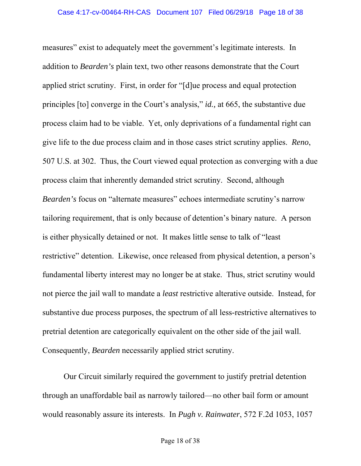measures" exist to adequately meet the government's legitimate interests. In addition to *Bearden's* plain text, two other reasons demonstrate that the Court applied strict scrutiny. First, in order for "[d]ue process and equal protection principles [to] converge in the Court's analysis," *id.,* at 665, the substantive due process claim had to be viable. Yet, only deprivations of a fundamental right can give life to the due process claim and in those cases strict scrutiny applies. *Reno*, 507 U.S. at 302. Thus, the Court viewed equal protection as converging with a due process claim that inherently demanded strict scrutiny. Second, although *Bearden's* focus on "alternate measures" echoes intermediate scrutiny's narrow tailoring requirement, that is only because of detention's binary nature. A person is either physically detained or not. It makes little sense to talk of "least restrictive" detention. Likewise, once released from physical detention, a person's fundamental liberty interest may no longer be at stake. Thus, strict scrutiny would not pierce the jail wall to mandate a *least* restrictive alterative outside. Instead, for substantive due process purposes, the spectrum of all less-restrictive alternatives to pretrial detention are categorically equivalent on the other side of the jail wall. Consequently, *Bearden* necessarily applied strict scrutiny.

Our Circuit similarly required the government to justify pretrial detention through an unaffordable bail as narrowly tailored—no other bail form or amount would reasonably assure its interests. In *Pugh v. Rainwater*, 572 F.2d 1053, 1057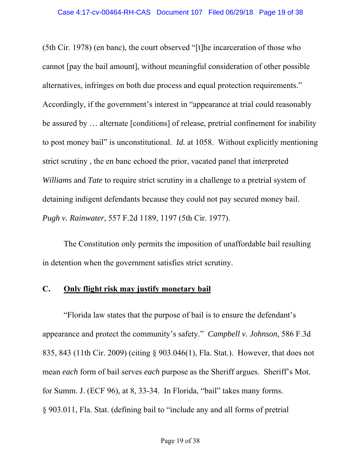(5th Cir. 1978) (en banc), the court observed "[t]he incarceration of those who cannot [pay the bail amount], without meaningful consideration of other possible alternatives, infringes on both due process and equal protection requirements." Accordingly, if the government's interest in "appearance at trial could reasonably be assured by … alternate [conditions] of release, pretrial confinement for inability to post money bail" is unconstitutional. *Id.* at 1058. Without explicitly mentioning strict scrutiny , the en banc echoed the prior, vacated panel that interpreted *Williams* and *Tate* to require strict scrutiny in a challenge to a pretrial system of detaining indigent defendants because they could not pay secured money bail. *Pugh v. Rainwater*, 557 F.2d 1189, 1197 (5th Cir. 1977).

The Constitution only permits the imposition of unaffordable bail resulting in detention when the government satisfies strict scrutiny.

### **C. Only flight risk may justify monetary bail**

"Florida law states that the purpose of bail is to ensure the defendant's appearance and protect the community's safety." *Campbell v. Johnson*, 586 F.3d 835, 843 (11th Cir. 2009) (citing § 903.046(1), Fla. Stat.). However, that does not mean *each* form of bail serves *each* purpose as the Sheriff argues. Sheriff's Mot. for Summ. J. (ECF 96), at 8, 33-34. In Florida, "bail" takes many forms. § 903.011, Fla. Stat. (defining bail to "include any and all forms of pretrial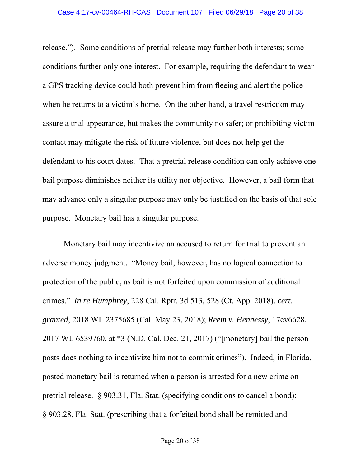release."). Some conditions of pretrial release may further both interests; some conditions further only one interest. For example, requiring the defendant to wear a GPS tracking device could both prevent him from fleeing and alert the police when he returns to a victim's home. On the other hand, a travel restriction may assure a trial appearance, but makes the community no safer; or prohibiting victim contact may mitigate the risk of future violence, but does not help get the defendant to his court dates. That a pretrial release condition can only achieve one bail purpose diminishes neither its utility nor objective. However, a bail form that may advance only a singular purpose may only be justified on the basis of that sole purpose. Monetary bail has a singular purpose.

Monetary bail may incentivize an accused to return for trial to prevent an adverse money judgment. "Money bail, however, has no logical connection to protection of the public, as bail is not forfeited upon commission of additional crimes." *In re Humphrey*, 228 Cal. Rptr. 3d 513, 528 (Ct. App. 2018), *cert. granted*, 2018 WL 2375685 (Cal. May 23, 2018); *Reem v. Hennessy*, 17cv6628, 2017 WL 6539760, at \*3 (N.D. Cal. Dec. 21, 2017) ("[monetary] bail the person posts does nothing to incentivize him not to commit crimes"). Indeed, in Florida, posted monetary bail is returned when a person is arrested for a new crime on pretrial release. § 903.31, Fla. Stat. (specifying conditions to cancel a bond); § 903.28, Fla. Stat. (prescribing that a forfeited bond shall be remitted and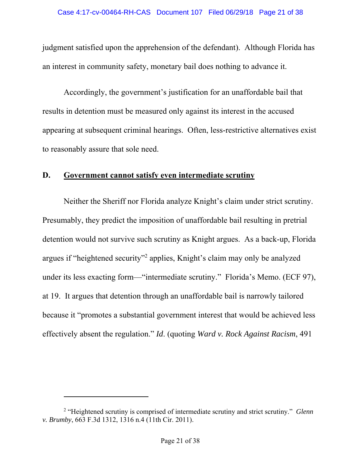judgment satisfied upon the apprehension of the defendant). Although Florida has an interest in community safety, monetary bail does nothing to advance it.

Accordingly, the government's justification for an unaffordable bail that results in detention must be measured only against its interest in the accused appearing at subsequent criminal hearings. Often, less-restrictive alternatives exist to reasonably assure that sole need.

#### **D. Government cannot satisfy even intermediate scrutiny**

Neither the Sheriff nor Florida analyze Knight's claim under strict scrutiny. Presumably, they predict the imposition of unaffordable bail resulting in pretrial detention would not survive such scrutiny as Knight argues. As a back-up, Florida argues if "heightened security"<sup>2</sup> applies, Knight's claim may only be analyzed under its less exacting form—"intermediate scrutiny." Florida's Memo. (ECF 97), at 19. It argues that detention through an unaffordable bail is narrowly tailored because it "promotes a substantial government interest that would be achieved less effectively absent the regulation." *Id*. (quoting *Ward v. Rock Against Racism*, 491

-

<sup>2</sup> "Heightened scrutiny is comprised of intermediate scrutiny and strict scrutiny." *Glenn v. Brumby*, 663 F.3d 1312, 1316 n.4 (11th Cir. 2011).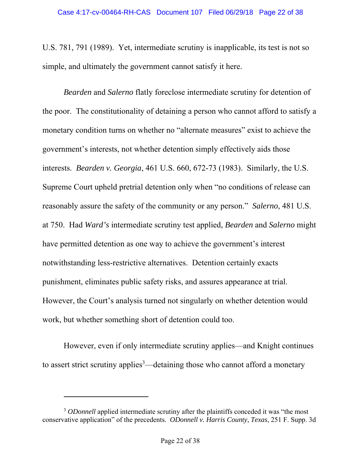U.S. 781, 791 (1989). Yet, intermediate scrutiny is inapplicable, its test is not so simple, and ultimately the government cannot satisfy it here.

*Bearden* and *Salerno* flatly foreclose intermediate scrutiny for detention of the poor. The constitutionality of detaining a person who cannot afford to satisfy a monetary condition turns on whether no "alternate measures" exist to achieve the government's interests, not whether detention simply effectively aids those interests. *Bearden v. Georgia*, 461 U.S. 660, 672-73 (1983). Similarly, the U.S. Supreme Court upheld pretrial detention only when "no conditions of release can reasonably assure the safety of the community or any person." *Salerno*, 481 U.S. at 750. Had *Ward's* intermediate scrutiny test applied, *Bearden* and *Salerno* might have permitted detention as one way to achieve the government's interest notwithstanding less-restrictive alternatives. Detention certainly exacts punishment, eliminates public safety risks, and assures appearance at trial. However, the Court's analysis turned not singularly on whether detention would work, but whether something short of detention could too.

However, even if only intermediate scrutiny applies—and Knight continues to assert strict scrutiny applies<sup>3</sup>—detaining those who cannot afford a monetary

 $\overline{a}$ 

<sup>&</sup>lt;sup>3</sup> *ODonnell* applied intermediate scrutiny after the plaintiffs conceded it was "the most" conservative application" of the precedents. *ODonnell v. Harris County, Texas*, 251 F. Supp. 3d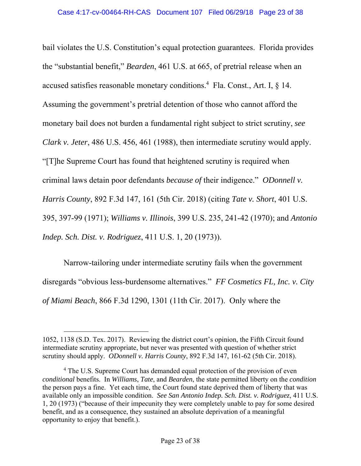bail violates the U.S. Constitution's equal protection guarantees. Florida provides the "substantial benefit," *Bearden*, 461 U.S. at 665, of pretrial release when an accused satisfies reasonable monetary conditions.<sup>4</sup> Fla. Const., Art. I,  $\S$  14. Assuming the government's pretrial detention of those who cannot afford the monetary bail does not burden a fundamental right subject to strict scrutiny, *see Clark v. Jeter*, 486 U.S. 456, 461 (1988), then intermediate scrutiny would apply. "[T]he Supreme Court has found that heightened scrutiny is required when criminal laws detain poor defendants *because of* their indigence." *ODonnell v. Harris County*, 892 F.3d 147, 161 (5th Cir. 2018) (citing *Tate v. Short*, 401 U.S. 395, 397-99 (1971); *Williams v. Illinois*, 399 U.S. 235, 241-42 (1970); and *Antonio Indep. Sch. Dist. v. Rodriguez*, 411 U.S. 1, 20 (1973)).

Narrow-tailoring under intermediate scrutiny fails when the government disregards "obvious less-burdensome alternatives." *FF Cosmetics FL, Inc. v. City of Miami Beach*, 866 F.3d 1290, 1301 (11th Cir. 2017). Only where the

l

<sup>1052, 1138 (</sup>S.D. Tex. 2017). Reviewing the district court's opinion, the Fifth Circuit found intermediate scrutiny appropriate, but never was presented with question of whether strict scrutiny should apply. *ODonnell v. Harris County*, 892 F.3d 147, 161-62 (5th Cir. 2018).

<sup>&</sup>lt;sup>4</sup> The U.S. Supreme Court has demanded equal protection of the provision of even *conditional* benefits. In *Williams*, *Tate*, and *Bearden*, the state permitted liberty on the *condition* the person pays a fine. Yet each time, the Court found state deprived them of liberty that was available only an impossible condition. *See San Antonio Indep. Sch. Dist. v. Rodriguez*, 411 U.S. 1, 20 (1973) ("because of their impecunity they were completely unable to pay for some desired benefit, and as a consequence, they sustained an absolute deprivation of a meaningful opportunity to enjoy that benefit.).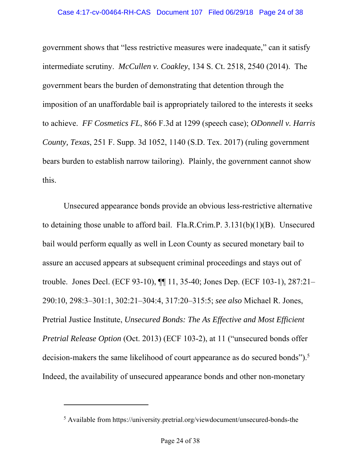government shows that "less restrictive measures were inadequate," can it satisfy intermediate scrutiny. *McCullen v. Coakley*, 134 S. Ct. 2518, 2540 (2014). The government bears the burden of demonstrating that detention through the imposition of an unaffordable bail is appropriately tailored to the interests it seeks to achieve. *FF Cosmetics FL*, 866 F.3d at 1299 (speech case); *ODonnell v. Harris County, Texas*, 251 F. Supp. 3d 1052, 1140 (S.D. Tex. 2017) (ruling government bears burden to establish narrow tailoring). Plainly, the government cannot show this.

Unsecured appearance bonds provide an obvious less-restrictive alternative to detaining those unable to afford bail. Fla.R.Crim.P. 3.131(b)(1)(B). Unsecured bail would perform equally as well in Leon County as secured monetary bail to assure an accused appears at subsequent criminal proceedings and stays out of trouble. Jones Decl. (ECF 93-10), ¶¶ 11, 35-40; Jones Dep. (ECF 103-1), 287:21– 290:10, 298:3–301:1, 302:21–304:4, 317:20–315:5; *see also* Michael R. Jones, Pretrial Justice Institute, *Unsecured Bonds: The As Effective and Most Efficient Pretrial Release Option* (Oct. 2013) (ECF 103-2), at 11 ("unsecured bonds offer decision-makers the same likelihood of court appearance as do secured bonds").<sup>5</sup> Indeed, the availability of unsecured appearance bonds and other non-monetary

-

<sup>&</sup>lt;sup>5</sup> Available from https://university.pretrial.org/viewdocument/unsecured-bonds-the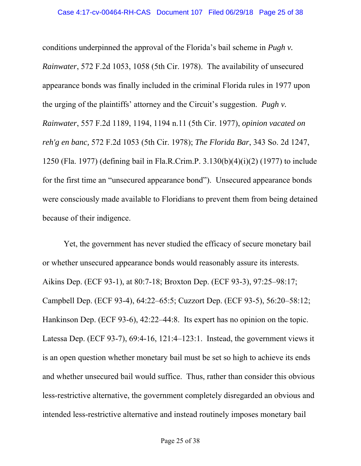conditions underpinned the approval of the Florida's bail scheme in *Pugh v. Rainwater*, 572 F.2d 1053, 1058 (5th Cir. 1978). The availability of unsecured appearance bonds was finally included in the criminal Florida rules in 1977 upon the urging of the plaintiffs' attorney and the Circuit's suggestion. *Pugh v. Rainwater*, 557 F.2d 1189, 1194, 1194 n.11 (5th Cir. 1977), *opinion vacated on reh'g en banc,* 572 F.2d 1053 (5th Cir. 1978); *The Florida Bar*, 343 So. 2d 1247, 1250 (Fla. 1977) (defining bail in Fla.R.Crim.P. 3.130(b)(4)(i)(2) (1977) to include for the first time an "unsecured appearance bond"). Unsecured appearance bonds were consciously made available to Floridians to prevent them from being detained because of their indigence.

Yet, the government has never studied the efficacy of secure monetary bail or whether unsecured appearance bonds would reasonably assure its interests. Aikins Dep. (ECF 93-1), at 80:7-18; Broxton Dep. (ECF 93-3), 97:25–98:17; Campbell Dep. (ECF 93-4), 64:22–65:5; Cuzzort Dep. (ECF 93-5), 56:20–58:12; Hankinson Dep. (ECF 93-6), 42:22–44:8. Its expert has no opinion on the topic. Latessa Dep. (ECF 93-7), 69:4-16, 121:4–123:1. Instead, the government views it is an open question whether monetary bail must be set so high to achieve its ends and whether unsecured bail would suffice. Thus, rather than consider this obvious less-restrictive alternative, the government completely disregarded an obvious and intended less-restrictive alternative and instead routinely imposes monetary bail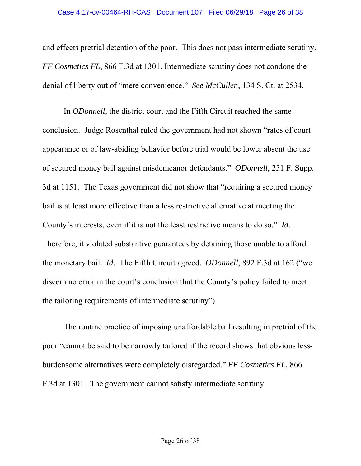and effects pretrial detention of the poor. This does not pass intermediate scrutiny. *FF Cosmetics FL*, 866 F.3d at 1301. Intermediate scrutiny does not condone the denial of liberty out of "mere convenience." *See McCullen*, 134 S. Ct. at 2534.

In *ODonnell,* the district court and the Fifth Circuit reached the same conclusion. Judge Rosenthal ruled the government had not shown "rates of court appearance or of law-abiding behavior before trial would be lower absent the use of secured money bail against misdemeanor defendants." *ODonnell*, 251 F. Supp. 3d at 1151. The Texas government did not show that "requiring a secured money bail is at least more effective than a less restrictive alternative at meeting the County's interests, even if it is not the least restrictive means to do so." *Id*. Therefore, it violated substantive guarantees by detaining those unable to afford the monetary bail. *Id*. The Fifth Circuit agreed. *ODonnell*, 892 F.3d at 162 ("we discern no error in the court's conclusion that the County's policy failed to meet the tailoring requirements of intermediate scrutiny").

The routine practice of imposing unaffordable bail resulting in pretrial of the poor "cannot be said to be narrowly tailored if the record shows that obvious lessburdensome alternatives were completely disregarded." *FF Cosmetics FL,* 866 F.3d at 1301. The government cannot satisfy intermediate scrutiny.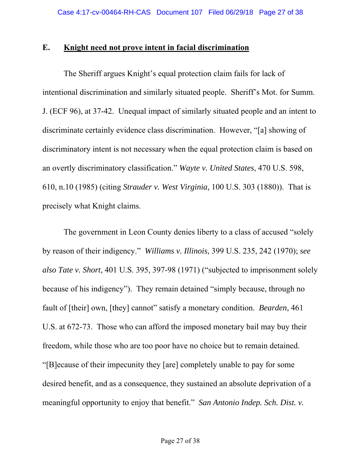#### **E. Knight need not prove intent in facial discrimination**

The Sheriff argues Knight's equal protection claim fails for lack of intentional discrimination and similarly situated people. Sheriff's Mot. for Summ. J. (ECF 96), at 37-42. Unequal impact of similarly situated people and an intent to discriminate certainly evidence class discrimination. However, "[a] showing of discriminatory intent is not necessary when the equal protection claim is based on an overtly discriminatory classification." *Wayte v. United States*, 470 U.S. 598, 610, n.10 (1985) (citing *Strauder v. West Virginia,* 100 U.S. 303 (1880)). That is precisely what Knight claims.

The government in Leon County denies liberty to a class of accused "solely by reason of their indigency." *Williams v. Illinois*, 399 U.S. 235, 242 (1970); *see also Tate v. Short*, 401 U.S. 395, 397-98 (1971) ("subjected to imprisonment solely because of his indigency"). They remain detained "simply because, through no fault of [their] own, [they] cannot" satisfy a monetary condition. *Bearden*, 461 U.S. at 672-73. Those who can afford the imposed monetary bail may buy their freedom, while those who are too poor have no choice but to remain detained. "[B]ecause of their impecunity they [are] completely unable to pay for some desired benefit, and as a consequence, they sustained an absolute deprivation of a meaningful opportunity to enjoy that benefit." *San Antonio Indep. Sch. Dist. v.*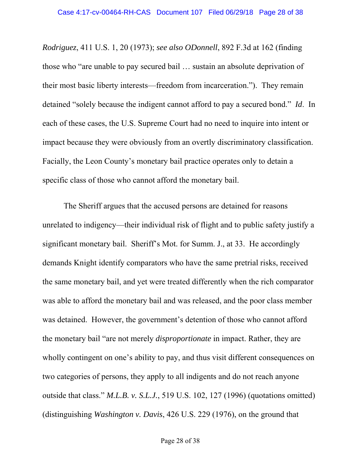*Rodriguez*, 411 U.S. 1, 20 (1973); *see also ODonnell*, 892 F.3d at 162 (finding those who "are unable to pay secured bail … sustain an absolute deprivation of their most basic liberty interests—freedom from incarceration."). They remain detained "solely because the indigent cannot afford to pay a secured bond." *Id*. In each of these cases, the U.S. Supreme Court had no need to inquire into intent or impact because they were obviously from an overtly discriminatory classification. Facially, the Leon County's monetary bail practice operates only to detain a specific class of those who cannot afford the monetary bail.

The Sheriff argues that the accused persons are detained for reasons unrelated to indigency—their individual risk of flight and to public safety justify a significant monetary bail. Sheriff's Mot. for Summ. J., at 33. He accordingly demands Knight identify comparators who have the same pretrial risks, received the same monetary bail, and yet were treated differently when the rich comparator was able to afford the monetary bail and was released, and the poor class member was detained. However, the government's detention of those who cannot afford the monetary bail "are not merely *disproportionate* in impact. Rather, they are wholly contingent on one's ability to pay, and thus visit different consequences on two categories of persons, they apply to all indigents and do not reach anyone outside that class." *M.L.B. v. S.L.J.*, 519 U.S. 102, 127 (1996) (quotations omitted) (distinguishing *Washington v. Davis*, 426 U.S. 229 (1976), on the ground that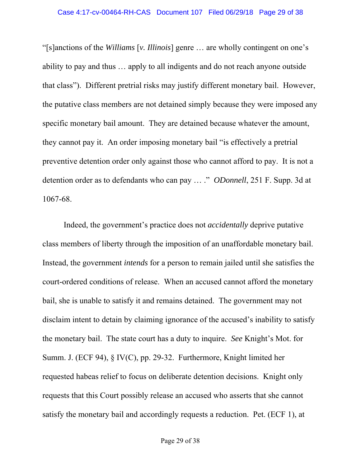"[s]anctions of the *Williams* [*v. Illinois*] genre … are wholly contingent on one's ability to pay and thus … apply to all indigents and do not reach anyone outside that class"). Different pretrial risks may justify different monetary bail. However, the putative class members are not detained simply because they were imposed any specific monetary bail amount. They are detained because whatever the amount, they cannot pay it. An order imposing monetary bail "is effectively a pretrial preventive detention order only against those who cannot afford to pay. It is not a detention order as to defendants who can pay … ." *ODonnell*, 251 F. Supp. 3d at 1067-68.

Indeed, the government's practice does not *accidentally* deprive putative class members of liberty through the imposition of an unaffordable monetary bail. Instead, the government *intends* for a person to remain jailed until she satisfies the court-ordered conditions of release. When an accused cannot afford the monetary bail, she is unable to satisfy it and remains detained. The government may not disclaim intent to detain by claiming ignorance of the accused's inability to satisfy the monetary bail. The state court has a duty to inquire. *See* Knight's Mot. for Summ. J. (ECF 94), § IV(C), pp. 29-32. Furthermore, Knight limited her requested habeas relief to focus on deliberate detention decisions. Knight only requests that this Court possibly release an accused who asserts that she cannot satisfy the monetary bail and accordingly requests a reduction. Pet. (ECF 1), at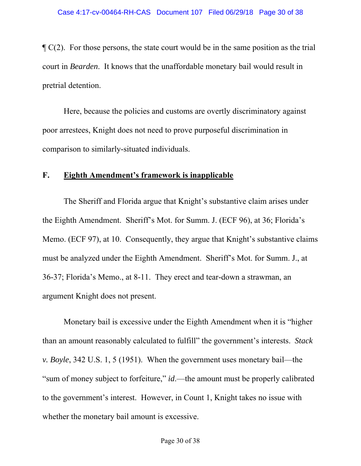$\mathcal{P}(\mathcal{C}(2))$ . For those persons, the state court would be in the same position as the trial court in *Bearden*. It knows that the unaffordable monetary bail would result in pretrial detention.

Here, because the policies and customs are overtly discriminatory against poor arrestees, Knight does not need to prove purposeful discrimination in comparison to similarly-situated individuals.

#### **F. Eighth Amendment's framework is inapplicable**

The Sheriff and Florida argue that Knight's substantive claim arises under the Eighth Amendment. Sheriff's Mot. for Summ. J. (ECF 96), at 36; Florida's Memo. (ECF 97), at 10. Consequently, they argue that Knight's substantive claims must be analyzed under the Eighth Amendment. Sheriff's Mot. for Summ. J., at 36-37; Florida's Memo., at 8-11. They erect and tear-down a strawman, an argument Knight does not present.

Monetary bail is excessive under the Eighth Amendment when it is "higher than an amount reasonably calculated to fulfill" the government's interests. *Stack v. Boyle*, 342 U.S. 1, 5 (1951). When the government uses monetary bail—the "sum of money subject to forfeiture," *id*.—the amount must be properly calibrated to the government's interest. However, in Count 1, Knight takes no issue with whether the monetary bail amount is excessive.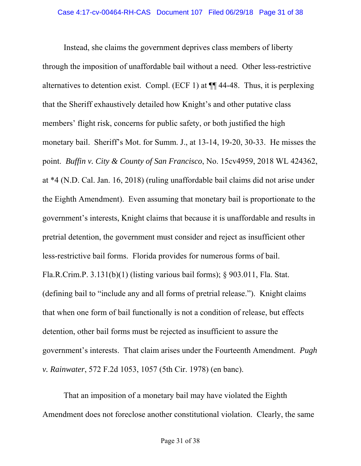Instead, she claims the government deprives class members of liberty through the imposition of unaffordable bail without a need. Other less-restrictive alternatives to detention exist. Compl. (ECF 1) at ¶¶ 44-48. Thus, it is perplexing that the Sheriff exhaustively detailed how Knight's and other putative class members' flight risk, concerns for public safety, or both justified the high monetary bail. Sheriff's Mot. for Summ. J., at 13-14, 19-20, 30-33. He misses the point. *Buffin v. City & County of San Francisco*, No. 15cv4959, 2018 WL 424362, at \*4 (N.D. Cal. Jan. 16, 2018) (ruling unaffordable bail claims did not arise under the Eighth Amendment). Even assuming that monetary bail is proportionate to the government's interests, Knight claims that because it is unaffordable and results in pretrial detention, the government must consider and reject as insufficient other less-restrictive bail forms. Florida provides for numerous forms of bail. Fla.R.Crim.P. 3.131(b)(1) (listing various bail forms); § 903.011, Fla. Stat. (defining bail to "include any and all forms of pretrial release."). Knight claims that when one form of bail functionally is not a condition of release, but effects detention, other bail forms must be rejected as insufficient to assure the government's interests. That claim arises under the Fourteenth Amendment. *Pugh v. Rainwater*, 572 F.2d 1053, 1057 (5th Cir. 1978) (en banc).

That an imposition of a monetary bail may have violated the Eighth Amendment does not foreclose another constitutional violation. Clearly, the same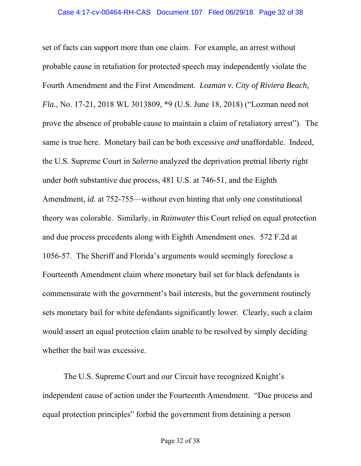set of facts can support more than one claim. For example, an arrest without probable cause in retaliation for protected speech may independently violate the Fourth Amendment and the First Amendment. *Lozman v. City of Riviera Beach, Fla.*, No. 17-21, 2018 WL 3013809, \*9 (U.S. June 18, 2018) ("Lozman need not prove the absence of probable cause to maintain a claim of retaliatory arrest"). The same is true here. Monetary bail can be both excessive *and* unaffordable. Indeed, the U.S. Supreme Court in *Salerno* analyzed the deprivation pretrial liberty right under *both* substantive due process, 481 U.S. at 746-51, and the Eighth Amendment, *id.* at 752-755—without even hinting that only one constitutional theory was colorable. Similarly, in *Rainwater* this Court relied on equal protection and due process precedents along with Eighth Amendment ones. 572 F.2d at 1056-57. The Sheriff and Florida's arguments would seemingly foreclose a Fourteenth Amendment claim where monetary bail set for black defendants is commensurate with the government's bail interests, but the government routinely sets monetary bail for white defendants significantly lower. Clearly, such a claim would assert an equal protection claim unable to be resolved by simply deciding whether the bail was excessive.

The U.S. Supreme Court and our Circuit have recognized Knight's independent cause of action under the Fourteenth Amendment. "Due process and equal protection principles" forbid the government from detaining a person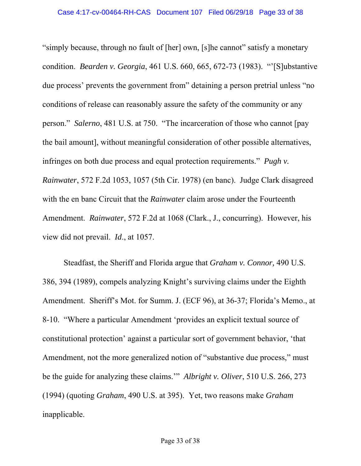"simply because, through no fault of [her] own, [s]he cannot" satisfy a monetary condition. *Bearden v. Georgia*, 461 U.S. 660, 665, 672-73 (1983). "'[S]ubstantive due process' prevents the government from" detaining a person pretrial unless "no conditions of release can reasonably assure the safety of the community or any person." *Salerno*, 481 U.S. at 750. "The incarceration of those who cannot [pay the bail amount], without meaningful consideration of other possible alternatives, infringes on both due process and equal protection requirements." *Pugh v. Rainwater*, 572 F.2d 1053, 1057 (5th Cir. 1978) (en banc). Judge Clark disagreed with the en banc Circuit that the *Rainwater* claim arose under the Fourteenth Amendment. *Rainwater*, 572 F.2d at 1068 (Clark., J., concurring). However, his view did not prevail. *Id*., at 1057.

Steadfast, the Sheriff and Florida argue that *Graham v. Connor,* 490 U.S. 386, 394 (1989), compels analyzing Knight's surviving claims under the Eighth Amendment. Sheriff's Mot. for Summ. J. (ECF 96), at 36-37; Florida's Memo., at 8-10. "Where a particular Amendment 'provides an explicit textual source of constitutional protection' against a particular sort of government behavior, 'that Amendment, not the more generalized notion of "substantive due process," must be the guide for analyzing these claims.'" *Albright v. Oliver*, 510 U.S. 266, 273 (1994) (quoting *Graham*, 490 U.S. at 395). Yet, two reasons make *Graham* inapplicable.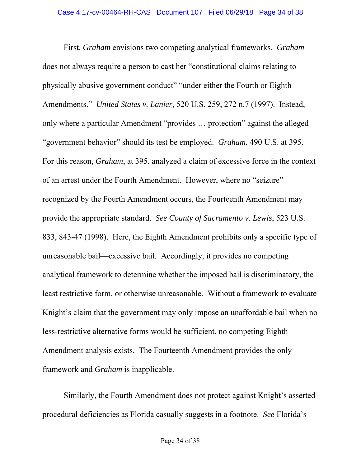First, *Graham* envisions two competing analytical frameworks. *Graham* does not always require a person to cast her "constitutional claims relating to physically abusive government conduct" "under either the Fourth or Eighth Amendments." *United States v. Lanier*, 520 U.S. 259, 272 n.7 (1997). Instead, only where a particular Amendment "provides … protection" against the alleged "government behavior" should its test be employed. *Graham*, 490 U.S. at 395. For this reason, *Graham*, at 395, analyzed a claim of excessive force in the context of an arrest under the Fourth Amendment. However, where no "seizure" recognized by the Fourth Amendment occurs, the Fourteenth Amendment may provide the appropriate standard. *See County of Sacramento v. Lewis*, 523 U.S. 833, 843-47 (1998). Here, the Eighth Amendment prohibits only a specific type of unreasonable bail—excessive bail. Accordingly, it provides no competing analytical framework to determine whether the imposed bail is discriminatory, the least restrictive form, or otherwise unreasonable. Without a framework to evaluate Knight's claim that the government may only impose an unaffordable bail when no less-restrictive alternative forms would be sufficient, no competing Eighth Amendment analysis exists. The Fourteenth Amendment provides the only framework and *Graham* is inapplicable.

Similarly, the Fourth Amendment does not protect against Knight's asserted procedural deficiencies as Florida casually suggests in a footnote. *See* Florida's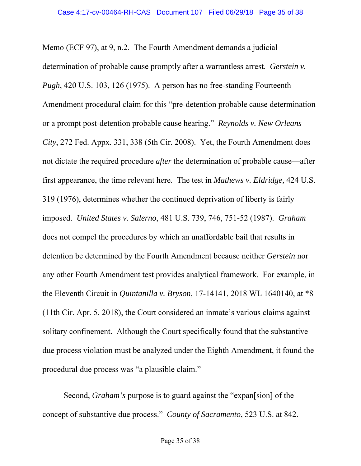Memo (ECF 97), at 9, n.2. The Fourth Amendment demands a judicial determination of probable cause promptly after a warrantless arrest. *Gerstein v. Pugh*, 420 U.S. 103, 126 (1975). A person has no free-standing Fourteenth Amendment procedural claim for this "pre-detention probable cause determination or a prompt post-detention probable cause hearing." *Reynolds v. New Orleans City*, 272 Fed. Appx. 331, 338 (5th Cir. 2008). Yet, the Fourth Amendment does not dictate the required procedure *after* the determination of probable cause—after first appearance, the time relevant here. The test in *Mathews v. Eldridge,* 424 U.S. 319 (1976), determines whether the continued deprivation of liberty is fairly imposed. *United States v. Salerno*, 481 U.S. 739, 746, 751-52 (1987). *Graham* does not compel the procedures by which an unaffordable bail that results in detention be determined by the Fourth Amendment because neither *Gerstein* nor any other Fourth Amendment test provides analytical framework. For example, in the Eleventh Circuit in *Quintanilla v. Bryson*, 17-14141, 2018 WL 1640140, at \*8 (11th Cir. Apr. 5, 2018), the Court considered an inmate's various claims against solitary confinement. Although the Court specifically found that the substantive due process violation must be analyzed under the Eighth Amendment, it found the procedural due process was "a plausible claim."

Second, *Graham's* purpose is to guard against the "expan[sion] of the concept of substantive due process." *County of Sacramento*, 523 U.S. at 842.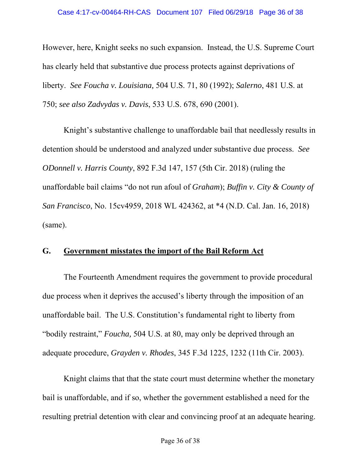However, here, Knight seeks no such expansion. Instead, the U.S. Supreme Court has clearly held that substantive due process protects against deprivations of liberty. *See Foucha v. Louisiana,* 504 U.S. 71, 80 (1992); *Salerno*, 481 U.S. at 750; *see also Zadvydas v. Davis*, 533 U.S. 678, 690 (2001).

Knight's substantive challenge to unaffordable bail that needlessly results in detention should be understood and analyzed under substantive due process. *See ODonnell v. Harris County*, 892 F.3d 147, 157 (5th Cir. 2018) (ruling the unaffordable bail claims "do not run afoul of *Graham*); *Buffin v. City & County of San Francisco*, No. 15cv4959, 2018 WL 424362, at \*4 (N.D. Cal. Jan. 16, 2018) (same).

### **G. Government misstates the import of the Bail Reform Act**

The Fourteenth Amendment requires the government to provide procedural due process when it deprives the accused's liberty through the imposition of an unaffordable bail. The U.S. Constitution's fundamental right to liberty from "bodily restraint," *Foucha,* 504 U.S. at 80, may only be deprived through an adequate procedure, *Grayden v. Rhodes*, 345 F.3d 1225, 1232 (11th Cir. 2003).

Knight claims that that the state court must determine whether the monetary bail is unaffordable, and if so, whether the government established a need for the resulting pretrial detention with clear and convincing proof at an adequate hearing.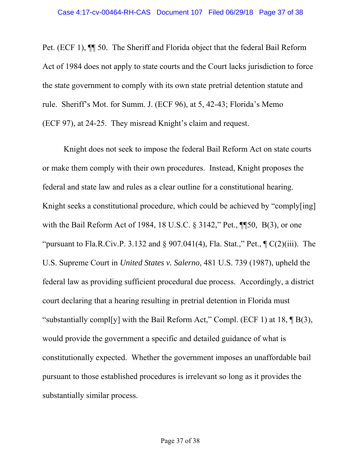Pet. (ECF 1), ¶¶ 50. The Sheriff and Florida object that the federal Bail Reform Act of 1984 does not apply to state courts and the Court lacks jurisdiction to force the state government to comply with its own state pretrial detention statute and rule. Sheriff's Mot. for Summ. J. (ECF 96), at 5, 42-43; Florida's Memo (ECF 97), at 24-25. They misread Knight's claim and request.

Knight does not seek to impose the federal Bail Reform Act on state courts or make them comply with their own procedures. Instead, Knight proposes the federal and state law and rules as a clear outline for a constitutional hearing. Knight seeks a constitutional procedure, which could be achieved by "comply[ing] with the Bail Reform Act of 1984, 18 U.S.C. § 3142," Pet., ¶¶50, B(3), or one "pursuant to Fla.R.Civ.P. 3.132 and  $\S$  907.041(4), Fla. Stat.," Pet.,  $\P C(2)(iii)$ . The U.S. Supreme Court in *United States v. Salerno*, 481 U.S. 739 (1987), upheld the federal law as providing sufficient procedural due process. Accordingly, a district court declaring that a hearing resulting in pretrial detention in Florida must "substantially compl[y] with the Bail Reform Act," Compl. (ECF 1) at 18,  $\P$  B(3), would provide the government a specific and detailed guidance of what is constitutionally expected. Whether the government imposes an unaffordable bail pursuant to those established procedures is irrelevant so long as it provides the substantially similar process.